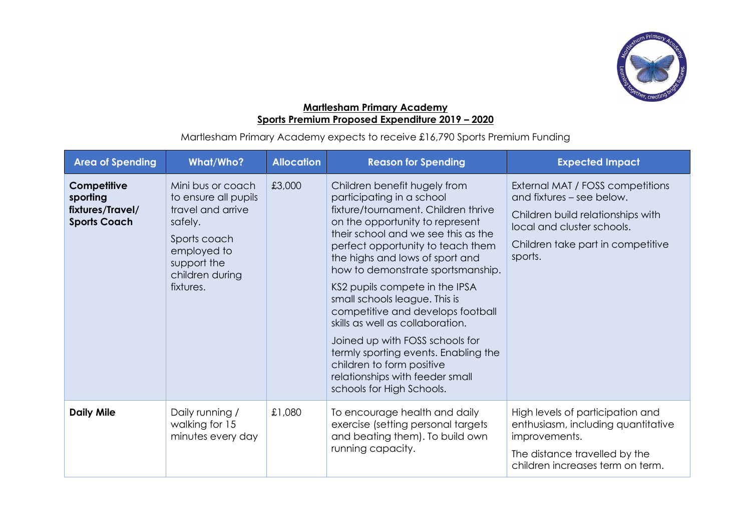

## **Martlesham Primary Academy Sports Premium Proposed Expenditure 2019 – 2020**

Martlesham Primary Academy expects to receive £16,790 Sports Premium Funding

| <b>Area of Spending</b>                                            | <b>What/Who?</b>                                                                                                                                        | <b>Allocation</b> | <b>Reason for Spending</b>                                                                                                                                                                                                                                                                                                                                                                                                                                                                                                                                                                                  | <b>Expected Impact</b>                                                                                                                                                           |
|--------------------------------------------------------------------|---------------------------------------------------------------------------------------------------------------------------------------------------------|-------------------|-------------------------------------------------------------------------------------------------------------------------------------------------------------------------------------------------------------------------------------------------------------------------------------------------------------------------------------------------------------------------------------------------------------------------------------------------------------------------------------------------------------------------------------------------------------------------------------------------------------|----------------------------------------------------------------------------------------------------------------------------------------------------------------------------------|
| Competitive<br>sporting<br>fixtures/Travel/<br><b>Sports Coach</b> | Mini bus or coach<br>to ensure all pupils<br>travel and arrive<br>safely.<br>Sports coach<br>employed to<br>support the<br>children during<br>fixtures. | £3,000            | Children benefit hugely from<br>participating in a school<br>fixture/tournament. Children thrive<br>on the opportunity to represent<br>their school and we see this as the<br>perfect opportunity to teach them<br>the highs and lows of sport and<br>how to demonstrate sportsmanship.<br>KS2 pupils compete in the IPSA<br>small schools league. This is<br>competitive and develops football<br>skills as well as collaboration.<br>Joined up with FOSS schools for<br>termly sporting events. Enabling the<br>children to form positive<br>relationships with feeder small<br>schools for High Schools. | External MAT / FOSS competitions<br>and fixtures - see below.<br>Children build relationships with<br>local and cluster schools.<br>Children take part in competitive<br>sports. |
| <b>Daily Mile</b>                                                  | Daily running /<br>walking for 15<br>minutes every day                                                                                                  | £1,080            | To encourage health and daily<br>exercise (setting personal targets<br>and beating them). To build own<br>running capacity.                                                                                                                                                                                                                                                                                                                                                                                                                                                                                 | High levels of participation and<br>enthusiasm, including quantitative<br>improvements.<br>The distance travelled by the<br>children increases term on term.                     |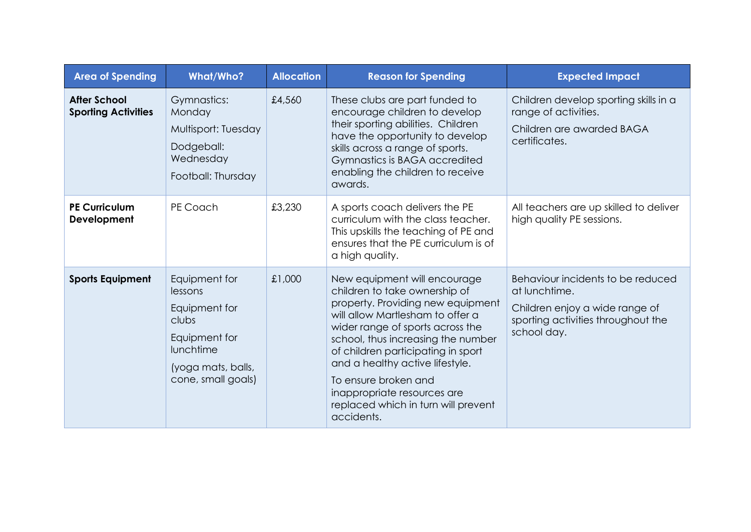| <b>Area of Spending</b>                           | <b>What/Who?</b>                                                                                                             | <b>Allocation</b> | <b>Reason for Spending</b>                                                                                                                                                                                                                                                                                                                                                                            | <b>Expected Impact</b>                                                                                                                    |
|---------------------------------------------------|------------------------------------------------------------------------------------------------------------------------------|-------------------|-------------------------------------------------------------------------------------------------------------------------------------------------------------------------------------------------------------------------------------------------------------------------------------------------------------------------------------------------------------------------------------------------------|-------------------------------------------------------------------------------------------------------------------------------------------|
| <b>After School</b><br><b>Sporting Activities</b> | Gymnastics:<br>Monday<br>Multisport: Tuesday<br>Dodgeball:<br>Wednesday<br>Football: Thursday                                | £4,560            | These clubs are part funded to<br>encourage children to develop<br>their sporting abilities. Children<br>have the opportunity to develop<br>skills across a range of sports.<br>Gymnastics is BAGA accredited<br>enabling the children to receive<br>awards.                                                                                                                                          | Children develop sporting skills in a<br>range of activities.<br>Children are awarded BAGA<br>certificates.                               |
| <b>PE Curriculum</b><br>Development               | PE Coach                                                                                                                     | £3,230            | A sports coach delivers the PE<br>curriculum with the class teacher.<br>This upskills the teaching of PE and<br>ensures that the PE curriculum is of<br>a high quality.                                                                                                                                                                                                                               | All teachers are up skilled to deliver<br>high quality PE sessions.                                                                       |
| <b>Sports Equipment</b>                           | Equipment for<br>lessons<br>Equipment for<br>clubs<br>Equipment for<br>lunchtime<br>(yoga mats, balls,<br>cone, small goals) | £1,000            | New equipment will encourage<br>children to take ownership of<br>property. Providing new equipment<br>will allow Martlesham to offer a<br>wider range of sports across the<br>school, thus increasing the number<br>of children participating in sport<br>and a healthy active lifestyle.<br>To ensure broken and<br>inappropriate resources are<br>replaced which in turn will prevent<br>accidents. | Behaviour incidents to be reduced<br>at lunchtime.<br>Children enjoy a wide range of<br>sporting activities throughout the<br>school day. |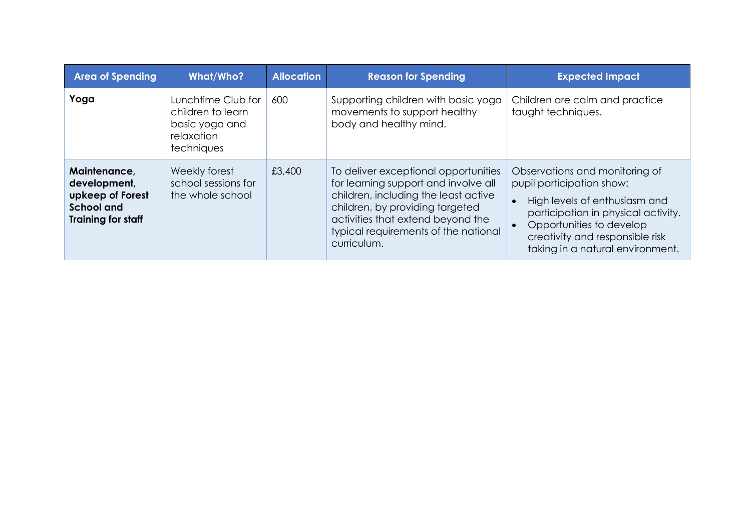| <b>Area of Spending</b>                                                                            | <b>What/Who?</b>                                                                      | <b>Allocation</b> | <b>Reason for Spending</b>                                                                                                                                                                                                                          | <b>Expected Impact</b>                                                                                                                                                                                                                 |
|----------------------------------------------------------------------------------------------------|---------------------------------------------------------------------------------------|-------------------|-----------------------------------------------------------------------------------------------------------------------------------------------------------------------------------------------------------------------------------------------------|----------------------------------------------------------------------------------------------------------------------------------------------------------------------------------------------------------------------------------------|
| Yoga                                                                                               | Lunchtime Club for<br>children to learn<br>basic yoga and<br>relaxation<br>techniques | 600               | Supporting children with basic yoga<br>movements to support healthy<br>body and healthy mind.                                                                                                                                                       | Children are calm and practice<br>taught techniques.                                                                                                                                                                                   |
| Maintenance,<br>development,<br>upkeep of Forest<br><b>School and</b><br><b>Training for staff</b> | Weekly forest<br>school sessions for<br>the whole school                              | £3,400            | To deliver exceptional opportunities<br>for learning support and involve all<br>children, including the least active<br>children, by providing targeted<br>activities that extend beyond the<br>typical requirements of the national<br>curriculum. | Observations and monitoring of<br>pupil participation show:<br>High levels of enthusiasm and<br>participation in physical activity.<br>Opportunities to develop<br>creativity and responsible risk<br>taking in a natural environment. |